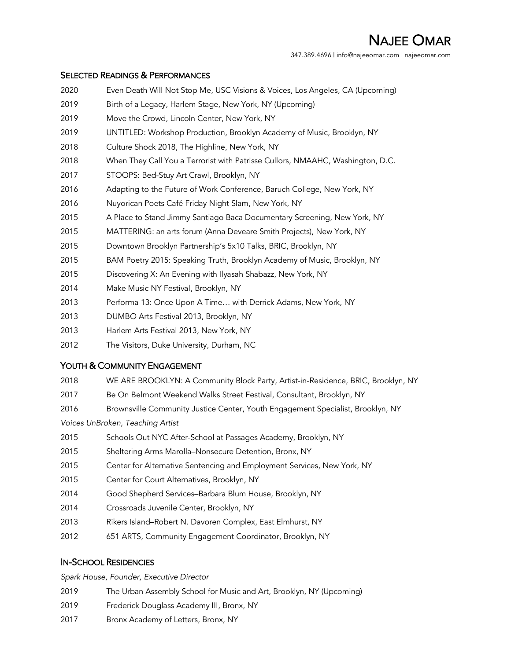NAJEE OMAR 347.389.4696 | info@najeeomar.com | najeeomar.com

### SELECTED READINGS & PERFORMANCES

- Even Death Will Not Stop Me, USC Visions & Voices, Los Angeles, CA (Upcoming)
- Birth of a Legacy, Harlem Stage, New York, NY (Upcoming)
- Move the Crowd, Lincoln Center, New York, NY
- UNTITLED: Workshop Production, Brooklyn Academy of Music, Brooklyn, NY
- Culture Shock 2018, The Highline, New York, NY
- When They Call You a Terrorist with Patrisse Cullors, NMAAHC, Washington, D.C.
- STOOPS: Bed-Stuy Art Crawl, Brooklyn, NY
- Adapting to the Future of Work Conference, Baruch College, New York, NY
- Nuyorican Poets Café Friday Night Slam, New York, NY
- A Place to Stand Jimmy Santiago Baca Documentary Screening, New York, NY
- MATTERING: an arts forum (Anna Deveare Smith Projects), New York, NY
- Downtown Brooklyn Partnership's 5x10 Talks, BRIC, Brooklyn, NY
- BAM Poetry 2015: Speaking Truth, Brooklyn Academy of Music, Brooklyn, NY
- Discovering X: An Evening with Ilyasah Shabazz, New York, NY
- Make Music NY Festival, Brooklyn, NY
- Performa 13: Once Upon A Time… with Derrick Adams, New York, NY
- DUMBO Arts Festival 2013, Brooklyn, NY
- Harlem Arts Festival 2013, New York, NY
- The Visitors, Duke University, Durham, NC

## YOUTH & COMMUNITY ENGAGEMENT

- WE ARE BROOKLYN: A Community Block Party, Artist-in-Residence, BRIC, Brooklyn, NY
- Be On Belmont Weekend Walks Street Festival, Consultant, Brooklyn, NY
- Brownsville Community Justice Center, Youth Engagement Specialist, Brooklyn, NY

*Voices UnBroken, Teaching Artist*

- Schools Out NYC After-School at Passages Academy, Brooklyn, NY
- Sheltering Arms Marolla–Nonsecure Detention, Bronx, NY
- Center for Alternative Sentencing and Employment Services, New York, NY
- Center for Court Alternatives, Brooklyn, NY
- Good Shepherd Services–Barbara Blum House, Brooklyn, NY
- Crossroads Juvenile Center, Brooklyn, NY
- Rikers Island–Robert N. Davoren Complex, East Elmhurst, NY
- 651 ARTS, Community Engagement Coordinator, Brooklyn, NY

## IN-SCHOOL RESIDENCIES

*Spark House, Founder, Executive Director*

- The Urban Assembly School for Music and Art, Brooklyn, NY (Upcoming)
- Frederick Douglass Academy III, Bronx, NY
- 2017 Bronx Academy of Letters, Bronx, NY